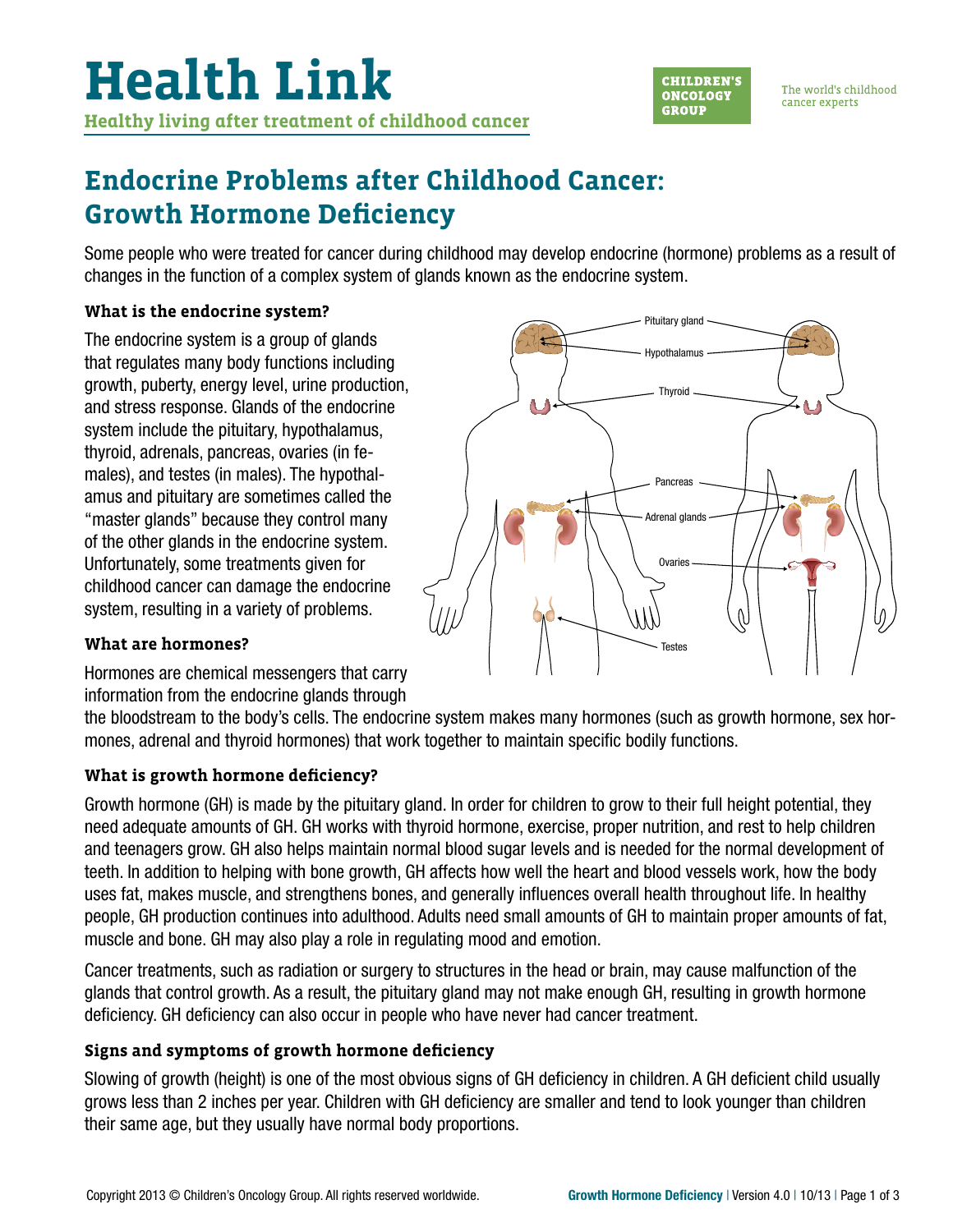

The world's childhood cancer experts

### **Endocrine Problems after Childhood Cancer: Growth Hormone Deficiency**

Some people who were treated for cancer during childhood may develop endocrine (hormone) problems as a result of changes in the function of a complex system of glands known as the endocrine system.

#### **What is the endocrine system?**

The endocrine system is a group of glands that regulates many body functions including growth, puberty, energy level, urine production, and stress response. Glands of the endocrine system include the pituitary, hypothalamus, thyroid, adrenals, pancreas, ovaries (in females), and testes (in males). The hypothalamus and pituitary are sometimes called the "master glands" because they control many of the other glands in the endocrine system. Unfortunately, some treatments given for childhood cancer can damage the endocrine system, resulting in a variety of problems.

#### **What are hormones?**

Hormones are chemical messengers that carry information from the endocrine glands through

the bloodstream to the body's cells. The endocrine system makes many hormones (such as growth hormone, sex hormones, adrenal and thyroid hormones) that work together to maintain specific bodily functions.

#### **What is growth hormone deficiency?**

Growth hormone (GH) is made by the pituitary gland. In order for children to grow to their full height potential, they need adequate amounts of GH. GH works with thyroid hormone, exercise, proper nutrition, and rest to help children and teenagers grow. GH also helps maintain normal blood sugar levels and is needed for the normal development of teeth. In addition to helping with bone growth, GH affects how well the heart and blood vessels work, how the body uses fat, makes muscle, and strengthens bones, and generally influences overall health throughout life. In healthy people, GH production continues into adulthood. Adults need small amounts of GH to maintain proper amounts of fat, muscle and bone. GH may also play a role in regulating mood and emotion.

Cancer treatments, such as radiation or surgery to structures in the head or brain, may cause malfunction of the glands that control growth. As a result, the pituitary gland may not make enough GH, resulting in growth hormone deficiency. GH deficiency can also occur in people who have never had cancer treatment.

#### **Signs and symptoms of growth hormone deficiency**

Slowing of growth (height) is one of the most obvious signs of GH deficiency in children. A GH deficient child usually grows less than 2 inches per year. Children with GH deficiency are smaller and tend to look younger than children their same age, but they usually have normal body proportions.

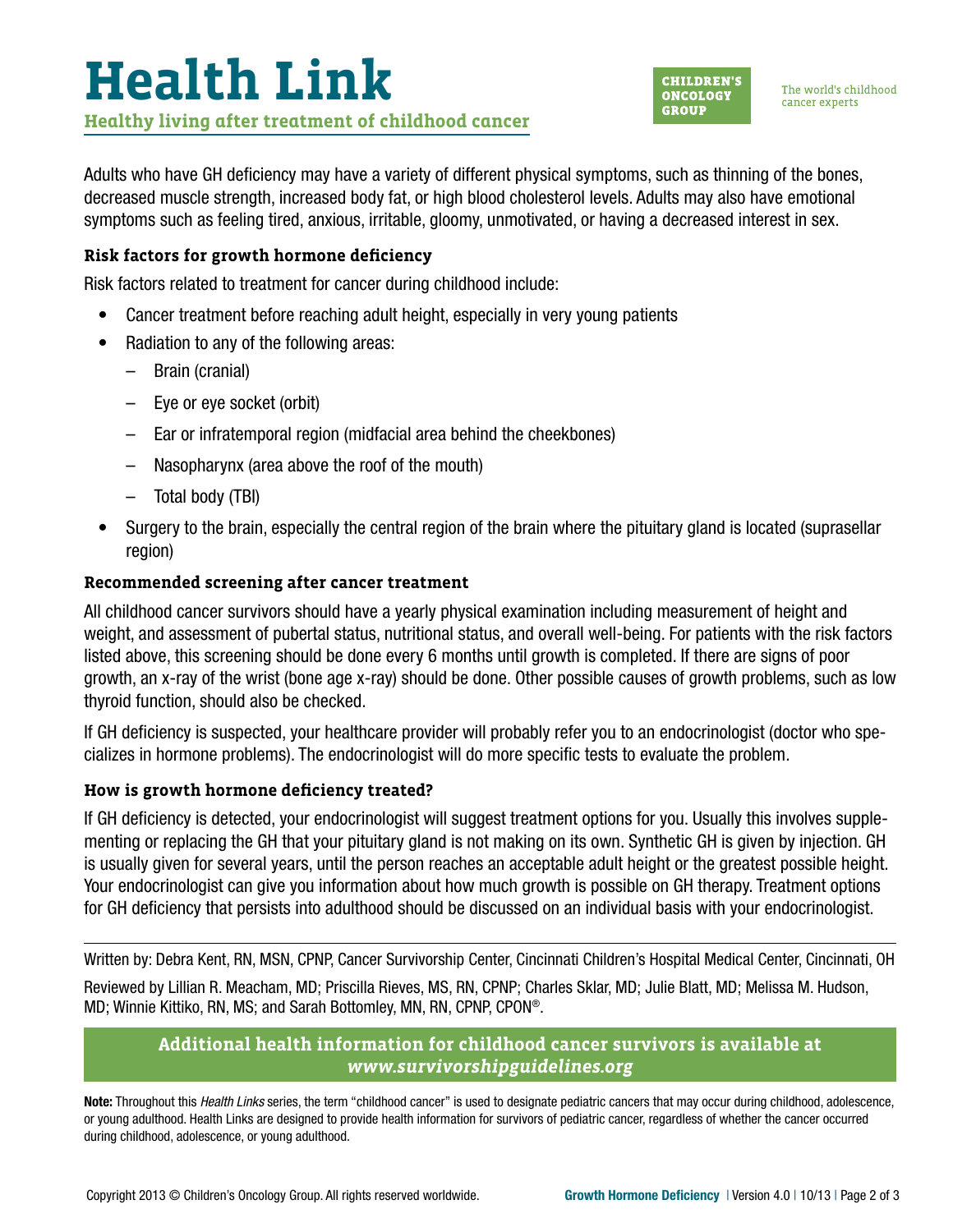# **Health Link Healthy living after treatment of childhood cancer**



The world's childhood cancer experts

Adults who have GH deficiency may have a variety of different physical symptoms, such as thinning of the bones, decreased muscle strength, increased body fat, or high blood cholesterol levels. Adults may also have emotional symptoms such as feeling tired, anxious, irritable, gloomy, unmotivated, or having a decreased interest in sex.

### **Risk factors for growth hormone deficiency**

Risk factors related to treatment for cancer during childhood include:

- Cancer treatment before reaching adult height, especially in very young patients
- Radiation to any of the following areas:
	- Brain (cranial)
	- Eye or eye socket (orbit)
	- Ear or infratemporal region (midfacial area behind the cheekbones)
	- Nasopharynx (area above the roof of the mouth)
	- Total body (TBI)
- Surgery to the brain, especially the central region of the brain where the pituitary gland is located (suprasellar region)

#### **Recommended screening after cancer treatment**

All childhood cancer survivors should have a yearly physical examination including measurement of height and weight, and assessment of pubertal status, nutritional status, and overall well-being. For patients with the risk factors listed above, this screening should be done every 6 months until growth is completed. If there are signs of poor growth, an x-ray of the wrist (bone age x-ray) should be done. Other possible causes of growth problems, such as low thyroid function, should also be checked.

If GH deficiency is suspected, your healthcare provider will probably refer you to an endocrinologist (doctor who specializes in hormone problems). The endocrinologist will do more specific tests to evaluate the problem.

#### **How is growth hormone deficiency treated?**

If GH deficiency is detected, your endocrinologist will suggest treatment options for you. Usually this involves supplementing or replacing the GH that your pituitary gland is not making on its own. Synthetic GH is given by injection. GH is usually given for several years, until the person reaches an acceptable adult height or the greatest possible height. Your endocrinologist can give you information about how much growth is possible on GH therapy. Treatment options for GH deficiency that persists into adulthood should be discussed on an individual basis with your endocrinologist.

Written by: Debra Kent, RN, MSN, CPNP, Cancer Survivorship Center, Cincinnati Children's Hospital Medical Center, Cincinnati, OH

Reviewed by Lillian R. Meacham, MD; Priscilla Rieves, MS, RN, CPNP; Charles Sklar, MD; Julie Blatt, MD; Melissa M. Hudson, MD; Winnie Kittiko, RN, MS; and Sarah Bottomley, MN, RN, CPNP, CPON®.

#### **Additional health information for childhood cancer survivors is available at**  *[www.survivorshipguidelines.org](http://www.survivorshipguidelines.org)*

Note: Throughout this *Health Links* series, the term "childhood cancer" is used to designate pediatric cancers that may occur during childhood, adolescence, or young adulthood. Health Links are designed to provide health information for survivors of pediatric cancer, regardless of whether the cancer occurred during childhood, adolescence, or young adulthood.